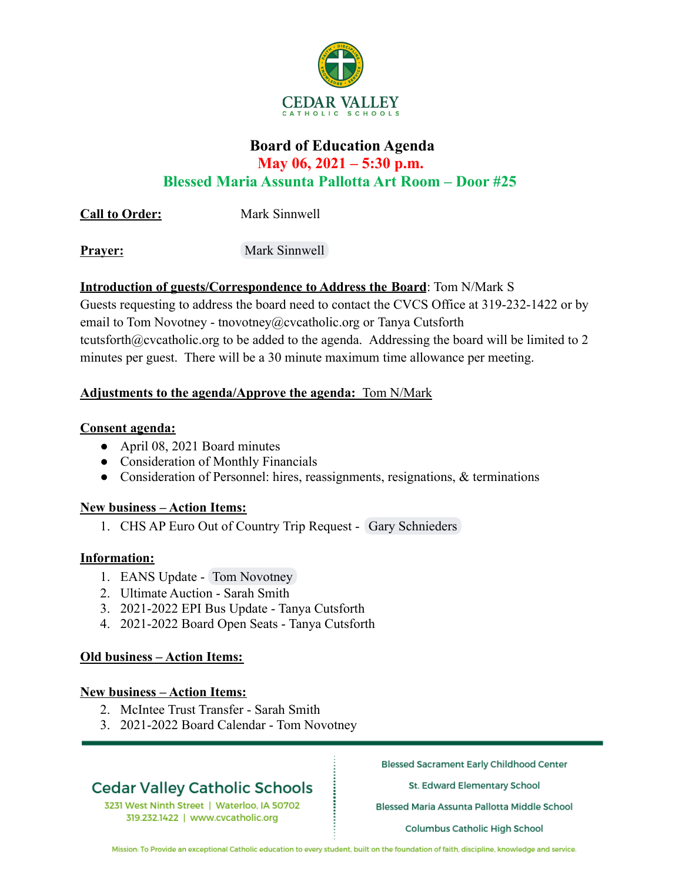

# **Board of Education Agenda May 06, 2021 – 5:30 p.m. Blessed Maria Assunta Pallotta Art Room – Door #25**

**Call to Order:** Mark Sinnwell

**Prayer:** Mark Sinnwell

# **Introduction of guests/Correspondence to Address the Board**: Tom N/Mark S

Guests requesting to address the board need to contact the CVCS Office at 319-232-1422 or by email to Tom Novotney - tnovotney@cvcatholic.org or Tanya Cutsforth tcutsforth@cvcatholic.org to be added to the agenda. Addressing the board will be limited to 2 minutes per guest. There will be a 30 minute maximum time allowance per meeting.

# **Adjustments to the agenda/Approve the agenda:** Tom N/Mark

## **Consent agenda:**

- April 08, 2021 Board minutes
- Consideration of Monthly Financials
- Consideration of Personnel: hires, reassignments, resignations, & terminations

## **New business – Action Items:**

1. CHS AP Euro Out of Country Trip Request - Gary Schnieders

## **Information:**

- 1. EANS Update Tom Novotney
- 2. Ultimate Auction Sarah Smith
- 3. 2021-2022 EPI Bus Update Tanya Cutsforth
- 4. 2021-2022 Board Open Seats Tanya Cutsforth

## **Old business – Action Items:**

#### **New business – Action Items:**

- 2. McIntee Trust Transfer Sarah Smith
- 3. 2021-2022 Board Calendar Tom Novotney

# **Cedar Valley Catholic Schools**

3231 West Ninth Street | Waterloo, IA 50702 319.232.1422 | www.cvcatholic.org

**Blessed Sacrament Early Childhood Center** 

St. Edward Elementary School

Blessed Maria Assunta Pallotta Middle School

Columbus Catholic High School

Mission: To Provide an exceptional Catholic education to every student, built on the foundation of faith, discipline, knowledge and service.